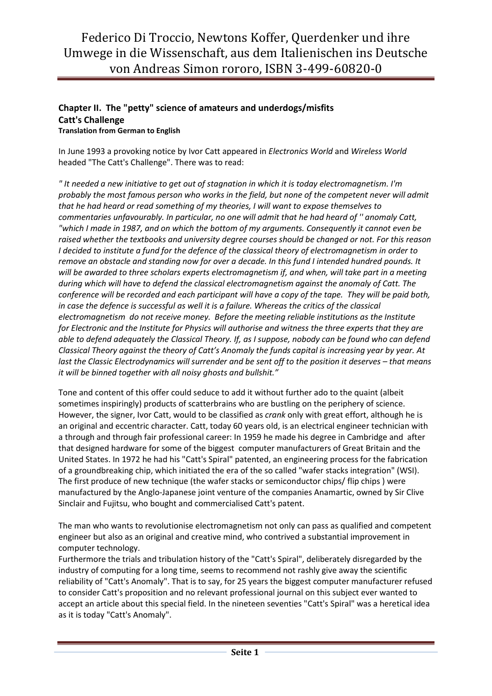## Chapter II. The "petty" science of amateurs and underdogs/misfits Catt's Challenge Translation from German to English

In June 1993 a provoking notice by Ivor Catt appeared in Electronics World and Wireless World headed "The Catt's Challenge". There was to read:

" It needed a new initiative to get out of stagnation in which it is today electromagnetism. I'm probably the most famous person who works in the field, but none of the competent never will admit that he had heard or read something of my theories, I will want to expose themselves to commentaries unfavourably. In particular, no one will admit that he had heard of '' anomaly Catt, "which I made in 1987, and on which the bottom of my arguments. Consequently it cannot even be raised whether the textbooks and university degree courses should be changed or not. For this reason I decided to institute a fund for the defence of the classical theory of electromagnetism in order to remove an obstacle and standing now for over a decade. In this fund I intended hundred pounds. It will be awarded to three scholars experts electromagnetism if, and when, will take part in a meeting during which will have to defend the classical electromagnetism against the anomaly of Catt. The conference will be recorded and each participant will have a copy of the tape. They will be paid both, in case the defence is successful as well it is a failure. Whereas the critics of the classical electromagnetism do not receive money. Before the meeting reliable institutions as the Institute for Electronic and the Institute for Physics will authorise and witness the three experts that they are able to defend adequately the Classical Theory. If, as I suppose, nobody can be found who can defend Classical Theory against the theory of Catt's Anomaly the funds capital is increasing year by year. At last the Classic Electrodynamics will surrender and be sent off to the position it deserves – that means it will be binned together with all noisy ghosts and bullshit."

Tone and content of this offer could seduce to add it without further ado to the quaint (albeit sometimes inspiringly) products of scatterbrains who are bustling on the periphery of science. However, the signer, Ivor Catt, would to be classified as *crank* only with great effort, although he is an original and eccentric character. Catt, today 60 years old, is an electrical engineer technician with a through and through fair professional career: In 1959 he made his degree in Cambridge and after that designed hardware for some of the biggest computer manufacturers of Great Britain and the United States. In 1972 he had his "Catt's Spiral" patented, an engineering process for the fabrication of a groundbreaking chip, which initiated the era of the so called "wafer stacks integration" (WSI). The first produce of new technique (the wafer stacks or semiconductor chips/ flip chips ) were manufactured by the Anglo-Japanese joint venture of the companies Anamartic, owned by Sir Clive Sinclair and Fujitsu, who bought and commercialised Catt's patent.

The man who wants to revolutionise electromagnetism not only can pass as qualified and competent engineer but also as an original and creative mind, who contrived a substantial improvement in computer technology.

Furthermore the trials and tribulation history of the "Catt's Spiral", deliberately disregarded by the industry of computing for a long time, seems to recommend not rashly give away the scientific reliability of "Catt's Anomaly". That is to say, for 25 years the biggest computer manufacturer refused to consider Catt's proposition and no relevant professional journal on this subject ever wanted to accept an article about this special field. In the nineteen seventies "Catt's Spiral" was a heretical idea as it is today "Catt's Anomaly".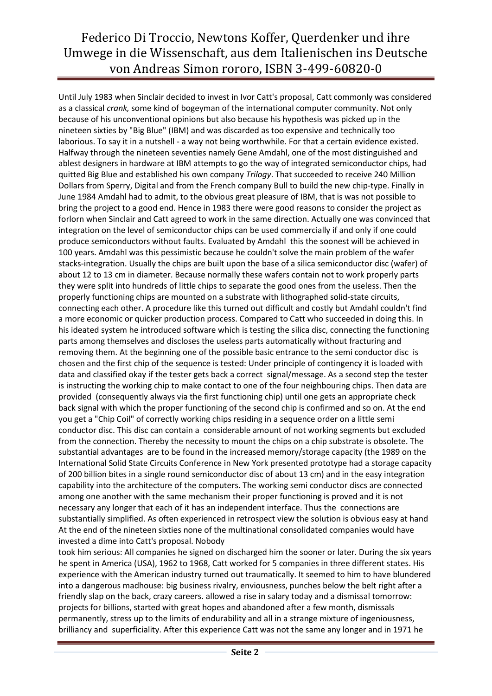## Federico Di Troccio, Newtons Koffer, Querdenker und ihre Umwege in die Wissenschaft, aus dem Italienischen ins Deutsche von Andreas Simon rororo, ISBN 3-499-60820-0

Until July 1983 when Sinclair decided to invest in Ivor Catt's proposal, Catt commonly was considered as a classical *crank*, some kind of bogeyman of the international computer community. Not only because of his unconventional opinions but also because his hypothesis was picked up in the nineteen sixties by "Big Blue" (IBM) and was discarded as too expensive and technically too laborious. To say it in a nutshell - a way not being worthwhile. For that a certain evidence existed. Halfway through the nineteen seventies namely Gene Amdahl, one of the most distinguished and ablest designers in hardware at IBM attempts to go the way of integrated semiconductor chips, had quitted Big Blue and established his own company Trilogy. That succeeded to receive 240 Million Dollars from Sperry, Digital and from the French company Bull to build the new chip-type. Finally in June 1984 Amdahl had to admit, to the obvious great pleasure of IBM, that is was not possible to bring the project to a good end. Hence in 1983 there were good reasons to consider the project as forlorn when Sinclair and Catt agreed to work in the same direction. Actually one was convinced that integration on the level of semiconductor chips can be used commercially if and only if one could produce semiconductors without faults. Evaluated by Amdahl this the soonest will be achieved in 100 years. Amdahl was this pessimistic because he couldn't solve the main problem of the wafer stacks-integration. Usually the chips are built upon the base of a silica semiconductor disc (wafer) of about 12 to 13 cm in diameter. Because normally these wafers contain not to work properly parts they were split into hundreds of little chips to separate the good ones from the useless. Then the properly functioning chips are mounted on a substrate with lithographed solid-state circuits, connecting each other. A procedure like this turned out difficult and costly but Amdahl couldn't find a more economic or quicker production process. Compared to Catt who succeeded in doing this. In his ideated system he introduced software which is testing the silica disc, connecting the functioning parts among themselves and discloses the useless parts automatically without fracturing and removing them. At the beginning one of the possible basic entrance to the semi conductor disc is chosen and the first chip of the sequence is tested: Under principle of contingency it is loaded with data and classified okay if the tester gets back a correct signal/message. As a second step the tester is instructing the working chip to make contact to one of the four neighbouring chips. Then data are provided (consequently always via the first functioning chip) until one gets an appropriate check back signal with which the proper functioning of the second chip is confirmed and so on. At the end you get a "Chip Coil" of correctly working chips residing in a sequence order on a little semi conductor disc. This disc can contain a considerable amount of not working segments but excluded from the connection. Thereby the necessity to mount the chips on a chip substrate is obsolete. The substantial advantages are to be found in the increased memory/storage capacity (the 1989 on the International Solid State Circuits Conference in New York presented prototype had a storage capacity of 200 billion bites in a single round semiconductor disc of about 13 cm) and in the easy integration capability into the architecture of the computers. The working semi conductor discs are connected among one another with the same mechanism their proper functioning is proved and it is not necessary any longer that each of it has an independent interface. Thus the connections are substantially simplified. As often experienced in retrospect view the solution is obvious easy at hand At the end of the nineteen sixties none of the multinational consolidated companies would have invested a dime into Catt's proposal. Nobody

took him serious: All companies he signed on discharged him the sooner or later. During the six years he spent in America (USA), 1962 to 1968, Catt worked for 5 companies in three different states. His experience with the American industry turned out traumatically. It seemed to him to have blundered into a dangerous madhouse: big business rivalry, enviousness, punches below the belt right after a friendly slap on the back, crazy careers. allowed a rise in salary today and a dismissal tomorrow: projects for billions, started with great hopes and abandoned after a few month, dismissals permanently, stress up to the limits of endurability and all in a strange mixture of ingeniousness, brilliancy and superficiality. After this experience Catt was not the same any longer and in 1971 he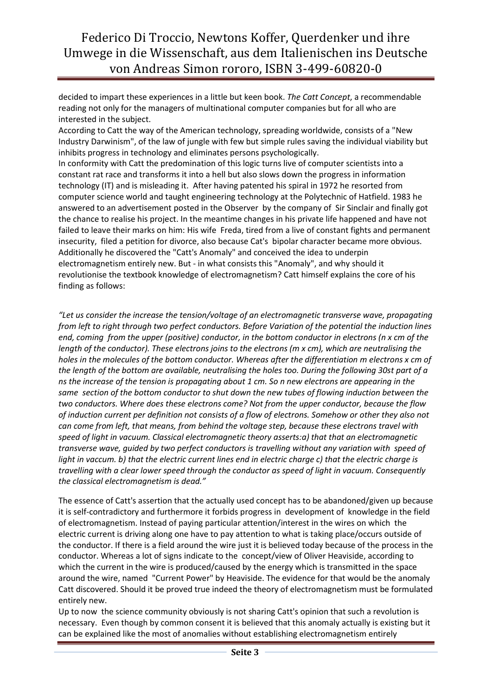Federico Di Troccio, Newtons Koffer, Querdenker und ihre Umwege in die Wissenschaft, aus dem Italienischen ins Deutsche von Andreas Simon rororo, ISBN 3-499-60820-0

decided to impart these experiences in a little but keen book. The Catt Concept, a recommendable reading not only for the managers of multinational computer companies but for all who are interested in the subject.

According to Catt the way of the American technology, spreading worldwide, consists of a "New Industry Darwinism", of the law of jungle with few but simple rules saving the individual viability but inhibits progress in technology and eliminates persons psychologically.

In conformity with Catt the predomination of this logic turns live of computer scientists into a constant rat race and transforms it into a hell but also slows down the progress in information technology (IT) and is misleading it. After having patented his spiral in 1972 he resorted from computer science world and taught engineering technology at the Polytechnic of Hatfield. 1983 he answered to an advertisement posted in the Observer by the company of Sir Sinclair and finally got the chance to realise his project. In the meantime changes in his private life happened and have not failed to leave their marks on him: His wife Freda, tired from a live of constant fights and permanent insecurity, filed a petition for divorce, also because Cat's bipolar character became more obvious. Additionally he discovered the "Catt's Anomaly" and conceived the idea to underpin electromagnetism entirely new. But - in what consists this "Anomaly", and why should it revolutionise the textbook knowledge of electromagnetism? Catt himself explains the core of his finding as follows:

"Let us consider the increase the tension/voltage of an electromagnetic transverse wave, propagating from left to right through two perfect conductors. Before Variation of the potential the induction lines end, coming from the upper (positive) conductor, in the bottom conductor in electrons (n x cm of the length of the conductor). These electrons joins to the electrons (m x cm), which are neutralising the holes in the molecules of the bottom conductor. Whereas after the differentiation m electrons x cm of the length of the bottom are available, neutralising the holes too. During the following 30st part of a ns the increase of the tension is propagating about 1 cm. So n new electrons are appearing in the same section of the bottom conductor to shut down the new tubes of flowing induction between the two conductors. Where does these electrons come? Not from the upper conductor, because the flow of induction current per definition not consists of a flow of electrons. Somehow or other they also not can come from left, that means, from behind the voltage step, because these electrons travel with speed of light in vacuum. Classical electromagnetic theory asserts:a) that that an electromagnetic transverse wave, guided by two perfect conductors is travelling without any variation with speed of light in vaccum. b) that the electric current lines end in electric charge c) that the electric charge is travelling with a clear lower speed through the conductor as speed of light in vacuum. Consequently the classical electromagnetism is dead."

The essence of Catt's assertion that the actually used concept has to be abandoned/given up because it is self-contradictory and furthermore it forbids progress in development of knowledge in the field of electromagnetism. Instead of paying particular attention/interest in the wires on which the electric current is driving along one have to pay attention to what is taking place/occurs outside of the conductor. If there is a field around the wire just it is believed today because of the process in the conductor. Whereas a lot of signs indicate to the concept/view of Oliver Heaviside, according to which the current in the wire is produced/caused by the energy which is transmitted in the space around the wire, named "Current Power" by Heaviside. The evidence for that would be the anomaly Catt discovered. Should it be proved true indeed the theory of electromagnetism must be formulated entirely new.

Up to now the science community obviously is not sharing Catt's opinion that such a revolution is necessary. Even though by common consent it is believed that this anomaly actually is existing but it can be explained like the most of anomalies without establishing electromagnetism entirely